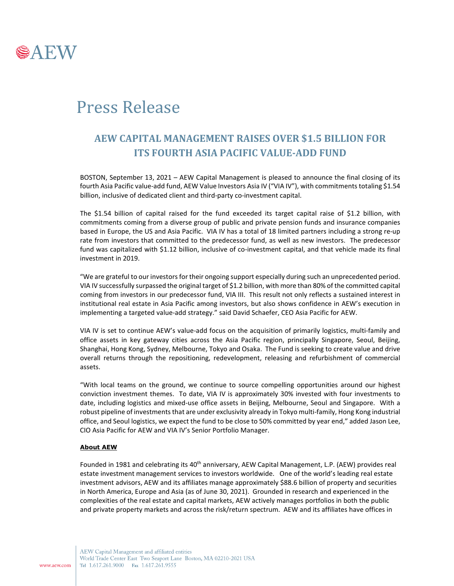

## Press Release

## **AEW CAPITAL MANAGEMENT RAISES OVER \$1.5 BILLION FOR ITS FOURTH ASIA PACIFIC VALUE-ADD FUND**

BOSTON, September 13, 2021 – AEW Capital Management is pleased to announce the final closing of its fourth Asia Pacific value-add fund, AEW Value Investors Asia IV ("VIA IV"), with commitments totaling \$1.54 billion, inclusive of dedicated client and third-party co-investment capital.

The \$1.54 billion of capital raised for the fund exceeded its target capital raise of \$1.2 billion, with commitments coming from a diverse group of public and private pension funds and insurance companies based in Europe, the US and Asia Pacific. VIA IV has a total of 18 limited partners including a strong re-up rate from investors that committed to the predecessor fund, as well as new investors. The predecessor fund was capitalized with \$1.12 billion, inclusive of co-investment capital, and that vehicle made its final investment in 2019.

"We are grateful to our investors for their ongoing support especially during such an unprecedented period. VIA IV successfully surpassed the original target of \$1.2 billion, with more than 80% of the committed capital coming from investors in our predecessor fund, VIA III. This result not only reflects a sustained interest in institutional real estate in Asia Pacific among investors, but also shows confidence in AEW's execution in implementing a targeted value-add strategy." said David Schaefer, CEO Asia Pacific for AEW.

VIA IV is set to continue AEW's value-add focus on the acquisition of primarily logistics, multi-family and office assets in key gateway cities across the Asia Pacific region, principally Singapore, Seoul, Beijing, Shanghai, Hong Kong, Sydney, Melbourne, Tokyo and Osaka. The Fund is seeking to create value and drive overall returns through the repositioning, redevelopment, releasing and refurbishment of commercial assets.

"With local teams on the ground, we continue to source compelling opportunities around our highest conviction investment themes. To date, VIA IV is approximately 30% invested with four investments to date, including logistics and mixed-use office assets in Beijing, Melbourne, Seoul and Singapore. With a robust pipeline of investments that are under exclusivity already in Tokyo multi-family, Hong Kong industrial office, and Seoul logistics, we expect the fund to be close to 50% committed by year end," added Jason Lee, CIO Asia Pacific for AEW and VIA IV's Senior Portfolio Manager.

## **About AEW**

Founded in 1981 and celebrating its 40<sup>th</sup> anniversary, AEW Capital Management, L.P. (AEW) provides real estate investment management services to investors worldwide. One of the world's leading real estate investment advisors, AEW and its affiliates manage approximately \$88.6 billion of property and securities in North America, Europe and Asia (as of June 30, 2021). Grounded in research and experienced in the complexities of the real estate and capital markets, AEW actively manages portfolios in both the public and private property markets and across the risk/return spectrum. AEW and its affiliates have offices in